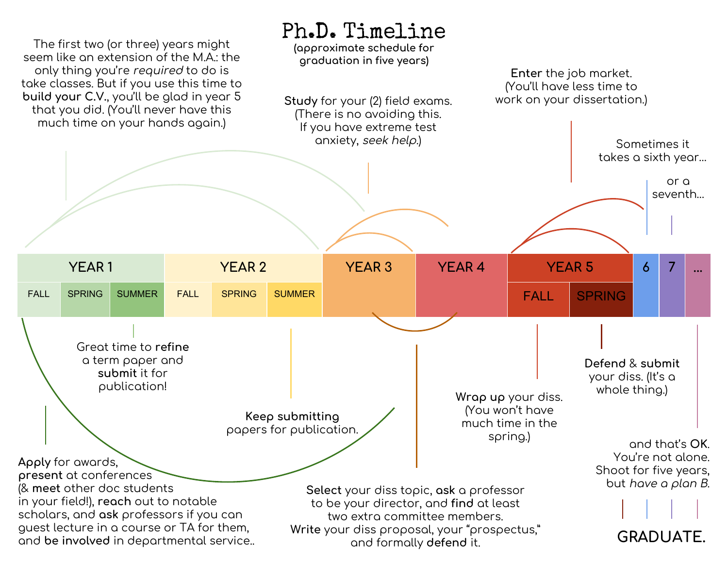